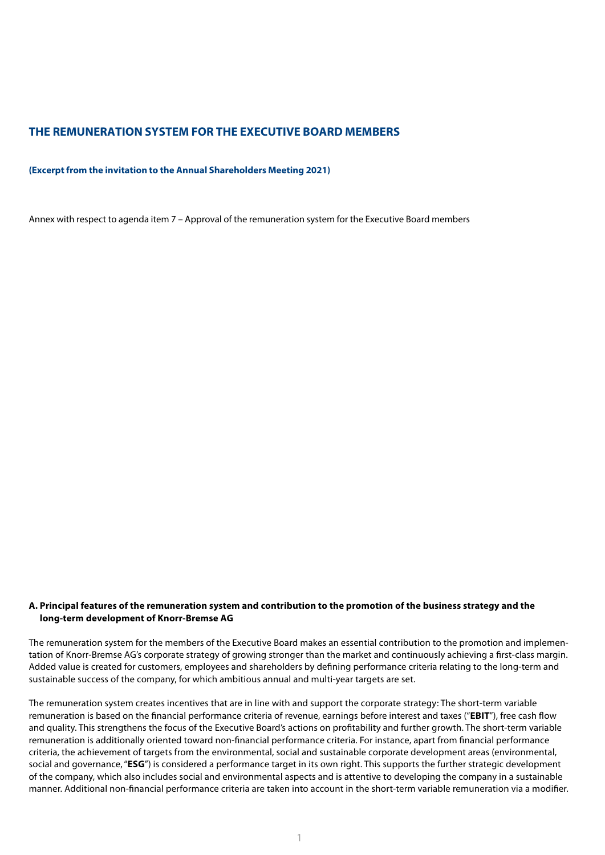### **THE REMUNERATION SYSTEM FOR THE EXECUTIVE BOARD MEMBERS**

#### **(Excerpt from the invitation to the Annual Shareholders Meeting 2021)**

Annex with respect to agenda item 7 – Approval of the remuneration system for the Executive Board members

#### **A. Principal features of the remuneration system and contribution to the promotion of the business strategy and the long-term development of Knorr-Bremse AG**

The remuneration system for the members of the Executive Board makes an essential contribution to the promotion and implementation of Knorr-Bremse AG's corporate strategy of growing stronger than the market and continuously achieving a first-class margin. Added value is created for customers, employees and shareholders by defining performance criteria relating to the long-term and sustainable success of the company, for which ambitious annual and multi-year targets are set.

The remuneration system creates incentives that are in line with and support the corporate strategy: The short-term variable remuneration is based on the financial performance criteria of revenue, earnings before interest and taxes ("**EBIT**"), free cash flow and quality. This strengthens the focus of the Executive Board's actions on profitability and further growth. The short-term variable remuneration is additionally oriented toward non-financial performance criteria. For instance, apart from financial performance criteria, the achievement of targets from the environmental, social and sustainable corporate development areas (environmental, social and governance, "**ESG**") is considered a performance target in its own right. This supports the further strategic development of the company, which also includes social and environmental aspects and is attentive to developing the company in a sustainable manner. Additional non-financial performance criteria are taken into account in the short-term variable remuneration via a modifier.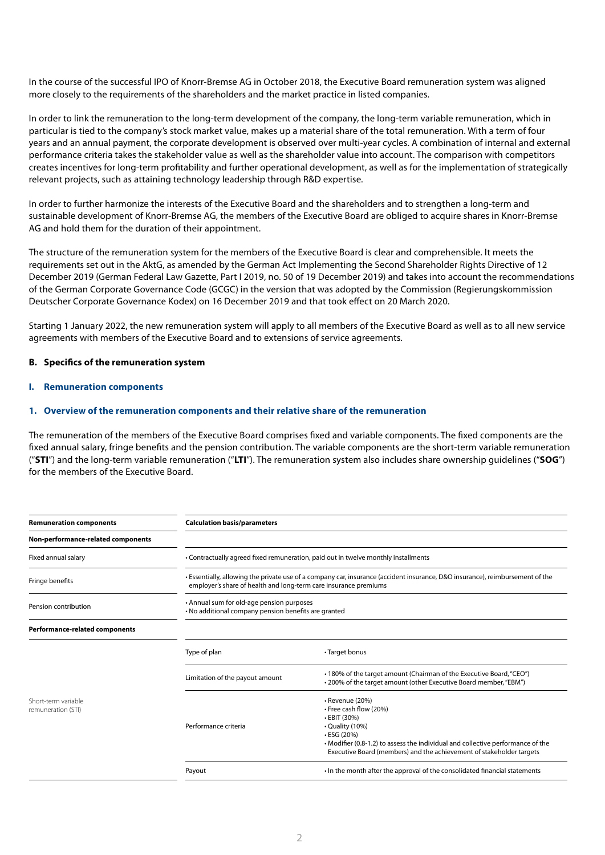In the course of the successful IPO of Knorr-Bremse AG in October 2018, the Executive Board remuneration system was aligned more closely to the requirements of the shareholders and the market practice in listed companies.

In order to link the remuneration to the long-term development of the company, the long-term variable remuneration, which in particular is tied to the company's stock market value, makes up a material share of the total remuneration. With a term of four years and an annual payment, the corporate development is observed over multi-year cycles. A combination of internal and external performance criteria takes the stakeholder value as well as the shareholder value into account. The comparison with competitors creates incentives for long-term profitability and further operational development, as well as for the implementation of strategically relevant projects, such as attaining technology leadership through R&D expertise.

In order to further harmonize the interests of the Executive Board and the shareholders and to strengthen a long-term and sustainable development of Knorr-Bremse AG, the members of the Executive Board are obliged to acquire shares in Knorr-Bremse AG and hold them for the duration of their appointment.

The structure of the remuneration system for the members of the Executive Board is clear and comprehensible. It meets the requirements set out in the AktG, as amended by the German Act Implementing the Second Shareholder Rights Directive of 12 December 2019 (German Federal Law Gazette, Part I 2019, no. 50 of 19 December 2019) and takes into account the recommendations of the German Corporate Governance Code (GCGC) in the version that was adopted by the Commission (Regierungskommission Deutscher Corporate Governance Kodex) on 16 December 2019 and that took effect on 20 March 2020.

Starting 1 January 2022, the new remuneration system will apply to all members of the Executive Board as well as to all new service agreements with members of the Executive Board and to extensions of service agreements.

#### **B. Specifics of the remuneration system**

**I. Remuneration components**

#### **1. Overview of the remuneration components and their relative share of the remuneration**

The remuneration of the members of the Executive Board comprises fixed and variable components. The fixed components are the fixed annual salary, fringe benefits and the pension contribution. The variable components are the short-term variable remuneration ("**STI**") and the long-term variable remuneration ("**LTI**"). The remuneration system also includes share ownership guidelines ("**SOG**") for the members of the Executive Board.

| <b>Remuneration components</b>            | <b>Calculation basis/parameters</b>                                                                                                                                                               |                                                                                                                                                                                                                                                              |  |
|-------------------------------------------|---------------------------------------------------------------------------------------------------------------------------------------------------------------------------------------------------|--------------------------------------------------------------------------------------------------------------------------------------------------------------------------------------------------------------------------------------------------------------|--|
| Non-performance-related components        |                                                                                                                                                                                                   |                                                                                                                                                                                                                                                              |  |
| Fixed annual salary                       | • Contractually agreed fixed remuneration, paid out in twelve monthly installments                                                                                                                |                                                                                                                                                                                                                                                              |  |
| Fringe benefits                           | • Essentially, allowing the private use of a company car, insurance (accident insurance, D&O insurance), reimbursement of the<br>employer's share of health and long-term care insurance premiums |                                                                                                                                                                                                                                                              |  |
| Pension contribution                      | • Annual sum for old-age pension purposes<br>• No additional company pension benefits are granted                                                                                                 |                                                                                                                                                                                                                                                              |  |
| <b>Performance-related components</b>     |                                                                                                                                                                                                   |                                                                                                                                                                                                                                                              |  |
|                                           | Type of plan                                                                                                                                                                                      | • Target bonus                                                                                                                                                                                                                                               |  |
|                                           | Limitation of the payout amount                                                                                                                                                                   | • 180% of the target amount (Chairman of the Executive Board, "CEO")<br>• 200% of the target amount (other Executive Board member, "EBM")                                                                                                                    |  |
| Short-term variable<br>remuneration (STI) | Performance criteria                                                                                                                                                                              | · Revenue (20%)<br>• Free cash flow (20%)<br>• EBIT (30%)<br>• Quality (10%)<br>$\cdot$ ESG (20%)<br>• Modifier (0.8-1.2) to assess the individual and collective performance of the<br>Executive Board (members) and the achievement of stakeholder targets |  |
|                                           | Payout                                                                                                                                                                                            | In the month after the approval of the consolidated financial statements                                                                                                                                                                                     |  |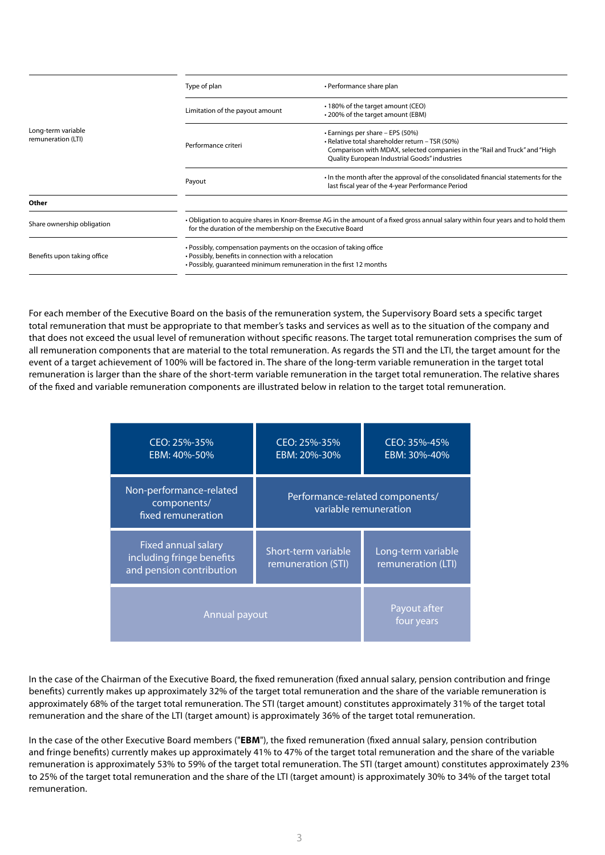| Long-term variable<br>remuneration (LTI) | Type of plan                                                                                                                                                                                     | • Performance share plan                                                                                                                                                                                           |
|------------------------------------------|--------------------------------------------------------------------------------------------------------------------------------------------------------------------------------------------------|--------------------------------------------------------------------------------------------------------------------------------------------------------------------------------------------------------------------|
|                                          | Limitation of the payout amount                                                                                                                                                                  | • 180% of the target amount (CEO)<br>• 200% of the target amount (EBM)                                                                                                                                             |
|                                          | Performance criteri                                                                                                                                                                              | • Earnings per share – EPS (50%)<br>• Relative total shareholder return - TSR (50%)<br>Comparison with MDAX, selected companies in the "Rail and Truck" and "High<br>Quality European Industrial Goods" industries |
|                                          | Payout                                                                                                                                                                                           | . In the month after the approval of the consolidated financial statements for the<br>last fiscal year of the 4-year Performance Period                                                                            |
| Other                                    |                                                                                                                                                                                                  |                                                                                                                                                                                                                    |
| Share ownership obligation               | . Obligation to acquire shares in Knorr-Bremse AG in the amount of a fixed gross annual salary within four years and to hold them<br>for the duration of the membership on the Executive Board   |                                                                                                                                                                                                                    |
| Benefits upon taking office              | • Possibly, compensation payments on the occasion of taking office<br>• Possibly, benefits in connection with a relocation<br>• Possibly, quaranteed minimum remuneration in the first 12 months |                                                                                                                                                                                                                    |

For each member of the Executive Board on the basis of the remuneration system, the Supervisory Board sets a specific target total remuneration that must be appropriate to that member's tasks and services as well as to the situation of the company and that does not exceed the usual level of remuneration without specific reasons. The target total remuneration comprises the sum of all remuneration components that are material to the total remuneration. As regards the STI and the LTI, the target amount for the event of a target achievement of 100% will be factored in. The share of the long-term variable remuneration in the target total remuneration is larger than the share of the short-term variable remuneration in the target total remuneration. The relative shares of the fixed and variable remuneration components are illustrated below in relation to the target total remuneration.

| CEO: 25%-35%<br>EBM: 40%-50%                                                 | CEO: 25%-35%<br>EBM: 20%-30%                             | CEO: 35%-45%<br>EBM: 30%-40%             |
|------------------------------------------------------------------------------|----------------------------------------------------------|------------------------------------------|
| Non-performance-related<br>components/<br>fixed remuneration                 | Performance-related components/<br>variable remuneration |                                          |
| Fixed annual salary<br>including fringe benefits<br>and pension contribution | Short-term variable<br>remuneration (STI)                | Long-term variable<br>remuneration (LTI) |
| Annual payout                                                                |                                                          | Payout after<br>four years               |

In the case of the Chairman of the Executive Board, the fixed remuneration (fixed annual salary, pension contribution and fringe benefits) currently makes up approximately 32% of the target total remuneration and the share of the variable remuneration is approximately 68% of the target total remuneration. The STI (target amount) constitutes approximately 31% of the target total remuneration and the share of the LTI (target amount) is approximately 36% of the target total remuneration.

In the case of the other Executive Board members ("**EBM**"), the fixed remuneration (fixed annual salary, pension contribution and fringe benefits) currently makes up approximately 41% to 47% of the target total remuneration and the share of the variable remuneration is approximately 53% to 59% of the target total remuneration. The STI (target amount) constitutes approximately 23% to 25% of the target total remuneration and the share of the LTI (target amount) is approximately 30% to 34% of the target total remuneration.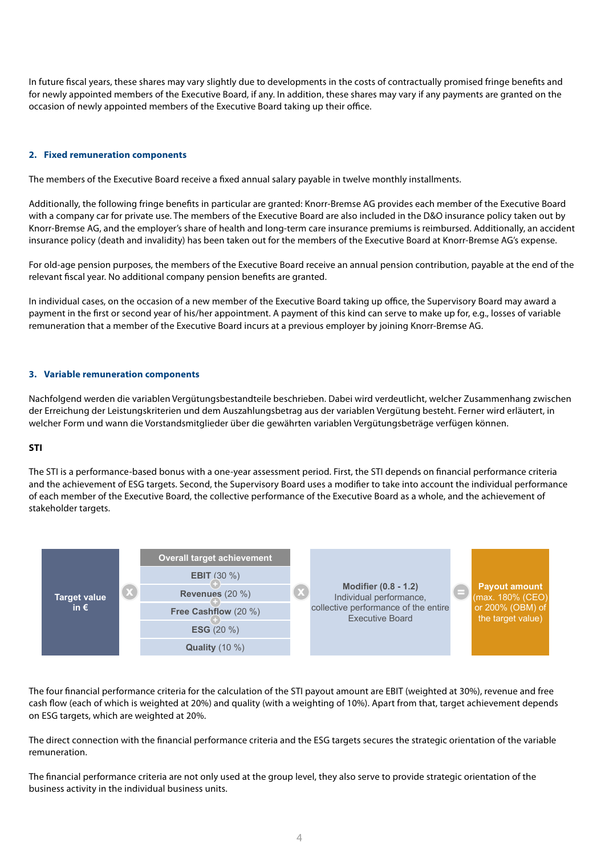In future fiscal years, these shares may vary slightly due to developments in the costs of contractually promised fringe benefits and for newly appointed members of the Executive Board, if any. In addition, these shares may vary if any payments are granted on the occasion of newly appointed members of the Executive Board taking up their office.

#### **2. Fixed remuneration components**

The members of the Executive Board receive a fixed annual salary payable in twelve monthly installments.

Additionally, the following fringe benefits in particular are granted: Knorr-Bremse AG provides each member of the Executive Board with a company car for private use. The members of the Executive Board are also included in the D&O insurance policy taken out by Knorr-Bremse AG, and the employer's share of health and long-term care insurance premiums is reimbursed. Additionally, an accident insurance policy (death and invalidity) has been taken out for the members of the Executive Board at Knorr-Bremse AG's expense.

For old-age pension purposes, the members of the Executive Board receive an annual pension contribution, payable at the end of the relevant fiscal year. No additional company pension benefits are granted.

In individual cases, on the occasion of a new member of the Executive Board taking up office, the Supervisory Board may award a payment in the first or second year of his/her appointment. A payment of this kind can serve to make up for, e.g., losses of variable remuneration that a member of the Executive Board incurs at a previous employer by joining Knorr-Bremse AG.

#### **3. Variable remuneration components**

Nachfolgend werden die variablen Vergütungsbestandteile beschrieben. Dabei wird verdeutlicht, welcher Zusammenhang zwischen der Erreichung der Leistungskriterien und dem Auszahlungsbetrag aus der variablen Vergütung besteht. Ferner wird erläutert, in welcher Form und wann die Vorstandsmitglieder über die gewährten variablen Vergütungsbeträge verfügen können.

#### **STI** Variable Vergütung des Vorstands

The STI is a performance-based bonus with a one-year assessment period. First, the STI depends on financial performance criteria and the achievement of ESG targets. Second, the Supervisory Board uses a modifier to take into account the individual performance of each member of the Executive Board, the collective performance of the Executive Board as a whole, and the achievement of **Short-Holder targets. Short-terms** incentive stakeholder targets.



The four financial performance criteria for the calculation of the STI payout amount are EBIT (weighted at 30%), revenue and free **Target Target achievement** cash flow (each of which is weighted at 20%) and quality (with a weighting of 10%). Apart from that, target achievement depends **< 80%** 0% on ESG targets, which are weighted at 20%.

The direct connection with the financial performance criteria and the ESG targets secures the strategic orientation of the variable **120%** 200% remuneration.

The financial performance criteria are not only used at the group level, they also serve to provide strategic orientation of the business activity in the individual business units.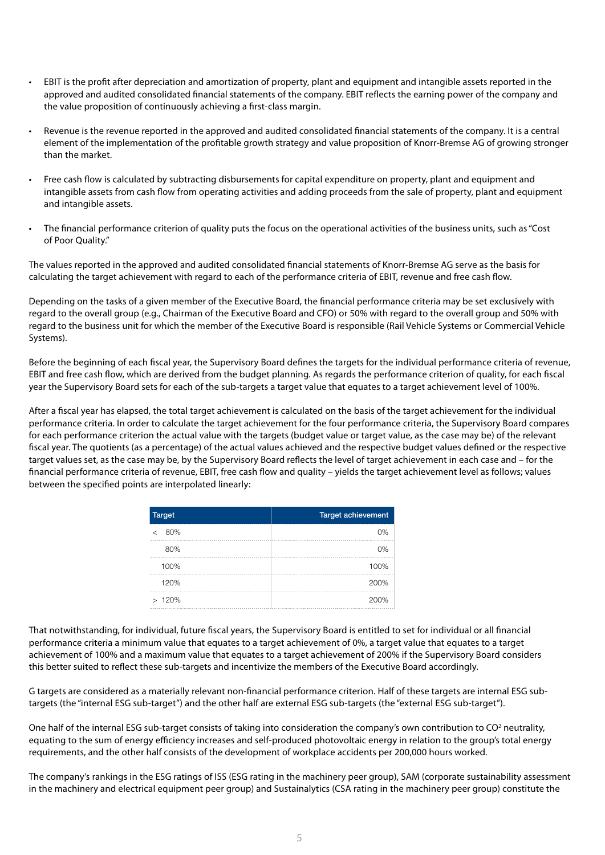- EBIT is the profit after depreciation and amortization of property, plant and equipment and intangible assets reported in the approved and audited consolidated financial statements of the company. EBIT reflects the earning power of the company and the value proposition of continuously achieving a first-class margin.
- Revenue is the revenue reported in the approved and audited consolidated financial statements of the company. It is a central element of the implementation of the profitable growth strategy and value proposition of Knorr-Bremse AG of growing stronger than the market.
- Free cash flow is calculated by subtracting disbursements for capital expenditure on property, plant and equipment and intangible assets from cash flow from operating activities and adding proceeds from the sale of property, plant and equipment and intangible assets.
- The financial performance criterion of quality puts the focus on the operational activities of the business units, such as "Cost of Poor Quality."

The values reported in the approved and audited consolidated financial statements of Knorr-Bremse AG serve as the basis for calculating the target achievement with regard to each of the performance criteria of EBIT, revenue and free cash flow.

Depending on the tasks of a given member of the Executive Board, the financial performance criteria may be set exclusively with regard to the overall group (e.g., Chairman of the Executive Board and CFO) or 50% with regard to the overall group and 50% with regard to the business unit for which the member of the Executive Board is responsible (Rail Vehicle Systems or Commercial Vehicle Systems).

Before the beginning of each fiscal year, the Supervisory Board defines the targets for the individual performance criteria of revenue, EBIT and free cash flow, which are derived from the budget planning. As regards the performance criterion of quality, for each fiscal year the Supervisory Board sets for each of the sub-targets a target value that equates to a target achievement level of 100%.

After a fiscal year has elapsed, the total target achievement is calculated on the basis of the target achievement for the individual performance criteria. In order to calculate the target achievement for the four performance criteria, the Supervisory Board compares for each performance criterion the actual value with the targets (budget value or target value, as the case may be) of the relevant fiscal year. The quotients (as a percentage) of the actual values achieved and the respective budget values defined or the respective target values set, as the case may be, by the Supervisory Board reflects the level of target achievement in each case and – for the financial performance criteria of revenue, EBIT, free cash flow and quality – yields the target achievement level as follows; values between the specified points are interpolated linearly:

| <b>Target</b> | <b>Target achievement</b> |
|---------------|---------------------------|
| 80%<br>←      | 0%                        |
| 80%           | 0%                        |
| 100%          | 100%                      |
| 120%          | 200%                      |
| >120%         | 200%                      |

That notwithstanding, for individual, future fiscal years, the Supervisory Board is entitled to set for individual or all financial performance criteria a minimum value that equates to a target achievement of 0%, a target value that equates to a target achievement of 100% and a maximum value that equates to a target achievement of 200% if the Supervisory Board considers this better suited to reflect these sub-targets and incentivize the members of the Executive Board accordingly.

G targets are considered as a materially relevant non-financial performance criterion. Half of these targets are internal ESG subtargets (the "internal ESG sub-target") and the other half are external ESG sub-targets (the "external ESG sub-target").

One half of the internal ESG sub-target consists of taking into consideration the company's own contribution to CO<sup>2</sup> neutrality, equating to the sum of energy efficiency increases and self-produced photovoltaic energy in relation to the group's total energy requirements, and the other half consists of the development of workplace accidents per 200,000 hours worked.

The company's rankings in the ESG ratings of ISS (ESG rating in the machinery peer group), SAM (corporate sustainability assessment in the machinery and electrical equipment peer group) and Sustainalytics (CSA rating in the machinery peer group) constitute the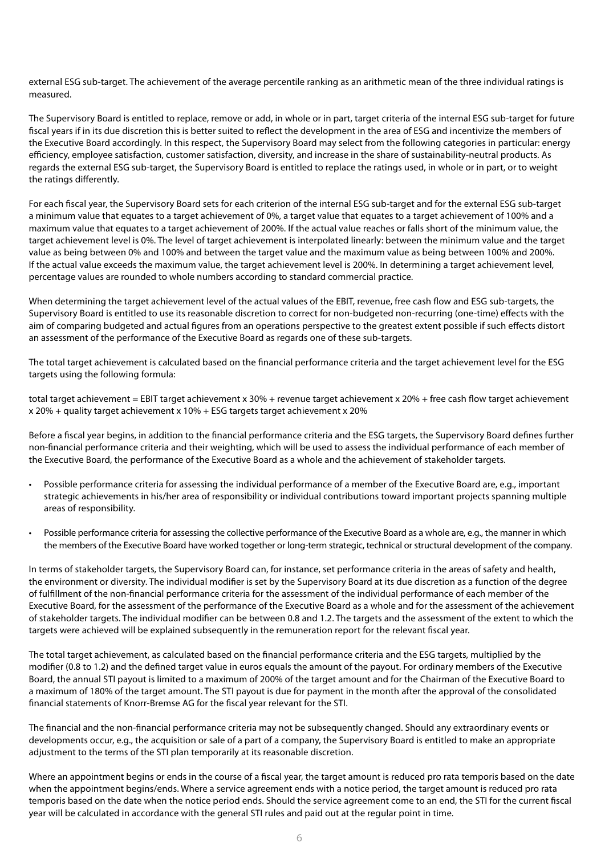external ESG sub-target. The achievement of the average percentile ranking as an arithmetic mean of the three individual ratings is measured.

The Supervisory Board is entitled to replace, remove or add, in whole or in part, target criteria of the internal ESG sub-target for future fiscal years if in its due discretion this is better suited to reflect the development in the area of ESG and incentivize the members of the Executive Board accordingly. In this respect, the Supervisory Board may select from the following categories in particular: energy efficiency, employee satisfaction, customer satisfaction, diversity, and increase in the share of sustainability-neutral products. As regards the external ESG sub-target, the Supervisory Board is entitled to replace the ratings used, in whole or in part, or to weight the ratings differently.

For each fiscal year, the Supervisory Board sets for each criterion of the internal ESG sub-target and for the external ESG sub-target a minimum value that equates to a target achievement of 0%, a target value that equates to a target achievement of 100% and a maximum value that equates to a target achievement of 200%. If the actual value reaches or falls short of the minimum value, the target achievement level is 0%. The level of target achievement is interpolated linearly: between the minimum value and the target value as being between 0% and 100% and between the target value and the maximum value as being between 100% and 200%. If the actual value exceeds the maximum value, the target achievement level is 200%. In determining a target achievement level, percentage values are rounded to whole numbers according to standard commercial practice.

When determining the target achievement level of the actual values of the EBIT, revenue, free cash flow and ESG sub-targets, the Supervisory Board is entitled to use its reasonable discretion to correct for non-budgeted non-recurring (one-time) effects with the aim of comparing budgeted and actual figures from an operations perspective to the greatest extent possible if such effects distort an assessment of the performance of the Executive Board as regards one of these sub-targets.

The total target achievement is calculated based on the financial performance criteria and the target achievement level for the ESG targets using the following formula:

total target achievement = EBIT target achievement x 30% + revenue target achievement x 20% + free cash flow target achievement x 20% + quality target achievement x 10% + ESG targets target achievement x 20%

Before a fiscal year begins, in addition to the financial performance criteria and the ESG targets, the Supervisory Board defines further non-financial performance criteria and their weighting, which will be used to assess the individual performance of each member of the Executive Board, the performance of the Executive Board as a whole and the achievement of stakeholder targets.

- Possible performance criteria for assessing the individual performance of a member of the Executive Board are, e.g., important strategic achievements in his/her area of responsibility or individual contributions toward important projects spanning multiple areas of responsibility.
- Possible performance criteria for assessing the collective performance of the Executive Board as a whole are, e.g., the manner in which the members of the Executive Board have worked together or long-term strategic, technical or structural development of the company.

In terms of stakeholder targets, the Supervisory Board can, for instance, set performance criteria in the areas of safety and health, the environment or diversity. The individual modifier is set by the Supervisory Board at its due discretion as a function of the degree of fulfillment of the non-financial performance criteria for the assessment of the individual performance of each member of the Executive Board, for the assessment of the performance of the Executive Board as a whole and for the assessment of the achievement of stakeholder targets. The individual modifier can be between 0.8 and 1.2. The targets and the assessment of the extent to which the targets were achieved will be explained subsequently in the remuneration report for the relevant fiscal year.

The total target achievement, as calculated based on the financial performance criteria and the ESG targets, multiplied by the modifier (0.8 to 1.2) and the defined target value in euros equals the amount of the payout. For ordinary members of the Executive Board, the annual STI payout is limited to a maximum of 200% of the target amount and for the Chairman of the Executive Board to a maximum of 180% of the target amount. The STI payout is due for payment in the month after the approval of the consolidated financial statements of Knorr-Bremse AG for the fiscal year relevant for the STI.

The financial and the non-financial performance criteria may not be subsequently changed. Should any extraordinary events or developments occur, e.g., the acquisition or sale of a part of a company, the Supervisory Board is entitled to make an appropriate adjustment to the terms of the STI plan temporarily at its reasonable discretion.

Where an appointment begins or ends in the course of a fiscal year, the target amount is reduced pro rata temporis based on the date when the appointment begins/ends. Where a service agreement ends with a notice period, the target amount is reduced pro rata temporis based on the date when the notice period ends. Should the service agreement come to an end, the STI for the current fiscal year will be calculated in accordance with the general STI rules and paid out at the regular point in time.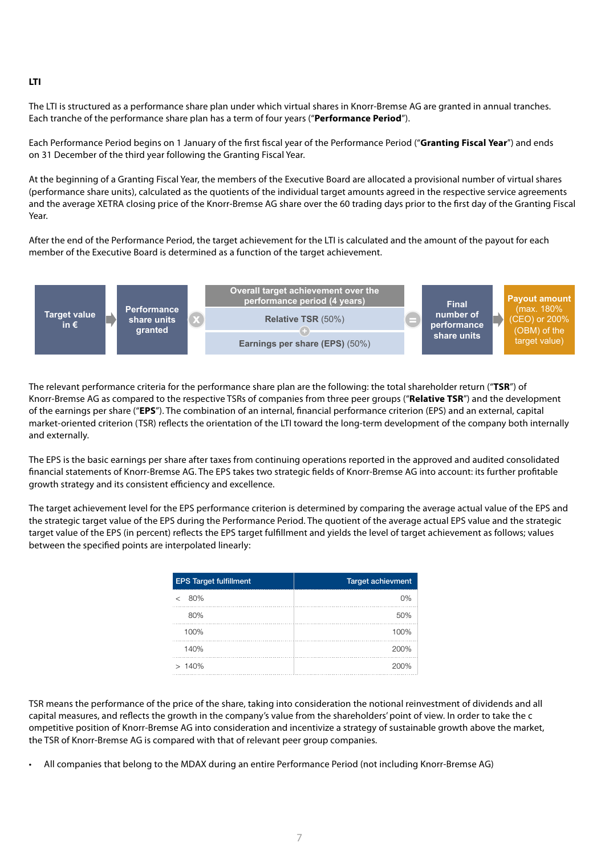#### **LTI**

The LTI is structured as a performance share plan under which virtual shares in Knorr-Bremse AG are granted in annual tranches. Each tranche of the performance share plan has a term of four years ("**Performance Period**").

Each Performance Period begins on 1 January of the first fiscal year of the Performance Period ("**Granting Fiscal Year**") and ends on 31 December of the third year following the Granting Fiscal Year.

At the beginning of a Granting Fiscal Year, the members of the Executive Board are allocated a provisional number of virtual shares (performance share units), calculated as the quotients of the individual target amounts agreed in the respective service agreements and the average XETRA closing price of the Knorr-Bremse AG share over the 60 trading days prior to the first day of the Granting Fiscal Year.

After the end of the Performance Period, the target achievement for the LTI is calculated and the amount of the payout for each member of the Executive Board is determined as a function of the target achievement.



The relevant performance criteria for the performance share plan are the following: the total shareholder return ("**TSR**") of Knorr-Bremse AG as compared to the respective TSRs of companies from three peer groups ("**Relative TSR**") and the development of the earnings per share ("**EPS**"). The combination of an internal, financial performance criterion (EPS) and an external, capital and the formal capital stress intervalsed criterion (TSP) reflects the orientation of the market-oriented criterion (TSR) reflects the orientation of the LTI toward the long-term development of the company both internally **achievement fulfilment achievement** and externally. **< 25. percentile rank** 0%

The EPS is the basic earnings per share after taxes from continuing operations reported in the approved and audited consolidated **50. percentile rank** 100% **100%** 100% financial statements of Knorr-Bremse AG. The EPS takes two strategic fields of Knorr-Bremse AG into account: its further profitable **75. percentile rank** 200% **140%** 200% growth strategy and its consistent efficiency and excellence. **> 75. percentile rank** 200%

The target achievement level for the EPS performance criterion is determined by comparing the average actual value of the EPS and the strategic target value of the EPS during the Performance Period. The quotient of the average actual EPS value and the strategic target value of the EPS (in percent) reflects the EPS target fulfillment and yields the level of target achievement as follows; values between the specified points are interpolated linearly:

| <b>EPS Target fulfillment</b> | <b>Target achievment</b> |
|-------------------------------|--------------------------|
| 80%<br>$\epsilon$             | 0%                       |
| 80%                           | 50%                      |
| 100%                          | 100%                     |
| 140%                          | 200%                     |
| >140%                         | 200%                     |

TSR means the performance of the price of the share, taking into consideration the notional reinvestment of dividends and all capital measures, and reflects the growth in the company's value from the shareholders' point of view. In order to take the c ompetitive position of Knorr-Bremse AG into consideration and incentivize a strategy of sustainable growth above the market, the TSR of Knorr-Bremse AG is compared with that of relevant peer group companies.

• All companies that belong to the MDAX during an entire Performance Period (not including Knorr-Bremse AG)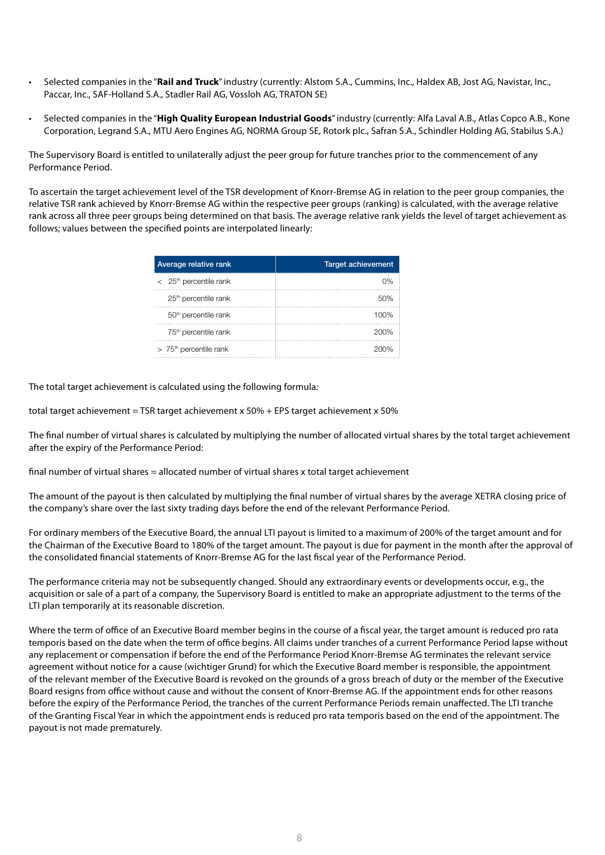- Selected companies in the "**Rail and Truck**" industry (currently: Alstom S.A., Cummins, Inc., Haldex AB, Jost AG, Navistar, Inc., Paccar, Inc., SAF-Holland S.A., Stadler Rail AG, Vossloh AG, TRATON SE)
- Selected companies in the "**High Quality European Industrial Goods**" industry (currently: Alfa Laval A.B., Atlas Copco A.B., Kone Corporation, Legrand S.A., MTU Aero Engines AG, NORMA Group SE, Rotork plc., Safran S.A., Schindler Holding AG, Stabilus S.A.)

The Supervisory Board is entitled to unilaterally adjust the peer group for future tranches prior to the commencement of any Performance Period.

To ascertain the target achievement level of the TSR development of Knorr-Bremse AG in relation to the peer group companies, the relative TSR rank achieved by Knorr-Bremse AG within the respective peer groups (ranking) is calculated, with the average relative rank across all three peer groups being determined on that basis. The average relative rank yields the level of target achievement as follows; values between the specified points are interpolated linearly:

| Average relative rank                | <b>Target achievement</b> |
|--------------------------------------|---------------------------|
| $<$ 25 <sup>th</sup> percentile rank | 0%                        |
| 25 <sup>th</sup> percentile rank     | 50%                       |
| 50 <sup>th</sup> percentile rank     | 100%                      |
| 75 <sup>th</sup> percentile rank     | 200%                      |
| $> 75th$ percentile rank             | 200%                      |

The total target achievement is calculated using the following formula:

total target achievement = TSR target achievement x 50% + EPS target achievement x 50%

The final number of virtual shares is calculated by multiplying the number of allocated virtual shares by the total target achievement after the expiry of the Performance Period:

final number of virtual shares = allocated number of virtual shares x total target achievement

The amount of the payout is then calculated by multiplying the final number of virtual shares by the average XETRA closing price of the company's share over the last sixty trading days before the end of the relevant Performance Period.

For ordinary members of the Executive Board, the annual LTI payout is limited to a maximum of 200% of the target amount and for the Chairman of the Executive Board to 180% of the target amount. The payout is due for payment in the month after the approval of the consolidated financial statements of Knorr-Bremse AG for the last fiscal year of the Performance Period.

The performance criteria may not be subsequently changed. Should any extraordinary events or developments occur, e.g., the acquisition or sale of a part of a company, the Supervisory Board is entitled to make an appropriate adjustment to the terms of the LTI plan temporarily at its reasonable discretion.

Where the term of office of an Executive Board member begins in the course of a fiscal year, the target amount is reduced pro rata temporis based on the date when the term of office begins. All claims under tranches of a current Performance Period lapse without any replacement or compensation if before the end of the Performance Period Knorr-Bremse AG terminates the relevant service agreement without notice for a cause (wichtiger Grund) for which the Executive Board member is responsible, the appointment of the relevant member of the Executive Board is revoked on the grounds of a gross breach of duty or the member of the Executive Board resigns from office without cause and without the consent of Knorr-Bremse AG. If the appointment ends for other reasons before the expiry of the Performance Period, the tranches of the current Performance Periods remain unaffected. The LTI tranche of the Granting Fiscal Year in which the appointment ends is reduced pro rata temporis based on the end of the appointment. The payout is not made prematurely.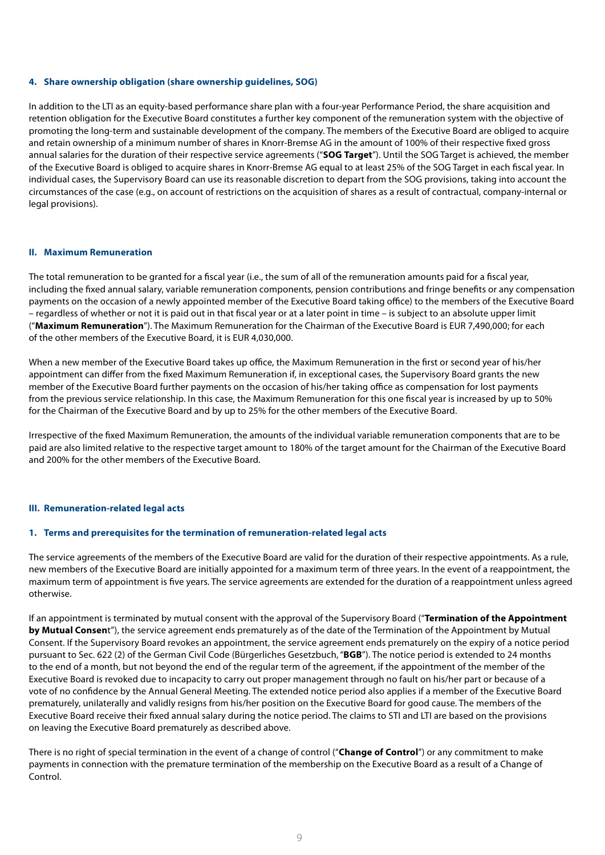#### **4. Share ownership obligation (share ownership guidelines, SOG)**

In addition to the LTI as an equity-based performance share plan with a four-year Performance Period, the share acquisition and retention obligation for the Executive Board constitutes a further key component of the remuneration system with the objective of promoting the long-term and sustainable development of the company. The members of the Executive Board are obliged to acquire and retain ownership of a minimum number of shares in Knorr-Bremse AG in the amount of 100% of their respective fixed gross annual salaries for the duration of their respective service agreements ("**SOG Target**"). Until the SOG Target is achieved, the member of the Executive Board is obliged to acquire shares in Knorr-Bremse AG equal to at least 25% of the SOG Target in each fiscal year. In individual cases, the Supervisory Board can use its reasonable discretion to depart from the SOG provisions, taking into account the circumstances of the case (e.g., on account of restrictions on the acquisition of shares as a result of contractual, company-internal or legal provisions).

#### **II. Maximum Remuneration**

The total remuneration to be granted for a fiscal year (i.e., the sum of all of the remuneration amounts paid for a fiscal year, including the fixed annual salary, variable remuneration components, pension contributions and fringe benefits or any compensation payments on the occasion of a newly appointed member of the Executive Board taking office) to the members of the Executive Board – regardless of whether or not it is paid out in that fiscal year or at a later point in time – is subject to an absolute upper limit ("**Maximum Remuneration**"). The Maximum Remuneration for the Chairman of the Executive Board is EUR 7,490,000; for each of the other members of the Executive Board, it is EUR 4,030,000.

When a new member of the Executive Board takes up office, the Maximum Remuneration in the first or second year of his/her appointment can differ from the fixed Maximum Remuneration if, in exceptional cases, the Supervisory Board grants the new member of the Executive Board further payments on the occasion of his/her taking office as compensation for lost payments from the previous service relationship. In this case, the Maximum Remuneration for this one fiscal year is increased by up to 50% for the Chairman of the Executive Board and by up to 25% for the other members of the Executive Board.

Irrespective of the fixed Maximum Remuneration, the amounts of the individual variable remuneration components that are to be paid are also limited relative to the respective target amount to 180% of the target amount for the Chairman of the Executive Board and 200% for the other members of the Executive Board.

#### **III. Remuneration-related legal acts**

#### **1. Terms and prerequisites for the termination of remuneration-related legal acts**

The service agreements of the members of the Executive Board are valid for the duration of their respective appointments. As a rule, new members of the Executive Board are initially appointed for a maximum term of three years. In the event of a reappointment, the maximum term of appointment is five years. The service agreements are extended for the duration of a reappointment unless agreed otherwise.

If an appointment is terminated by mutual consent with the approval of the Supervisory Board ("**Termination of the Appointment by Mutual Consen**t"), the service agreement ends prematurely as of the date of the Termination of the Appointment by Mutual Consent. If the Supervisory Board revokes an appointment, the service agreement ends prematurely on the expiry of a notice period pursuant to Sec. 622 (2) of the German Civil Code (Bürgerliches Gesetzbuch, "**BGB**"). The notice period is extended to 24 months to the end of a month, but not beyond the end of the regular term of the agreement, if the appointment of the member of the Executive Board is revoked due to incapacity to carry out proper management through no fault on his/her part or because of a vote of no confidence by the Annual General Meeting. The extended notice period also applies if a member of the Executive Board prematurely, unilaterally and validly resigns from his/her position on the Executive Board for good cause. The members of the Executive Board receive their fixed annual salary during the notice period. The claims to STI and LTI are based on the provisions on leaving the Executive Board prematurely as described above.

There is no right of special termination in the event of a change of control ("**Change of Control**") or any commitment to make payments in connection with the premature termination of the membership on the Executive Board as a result of a Change of Control.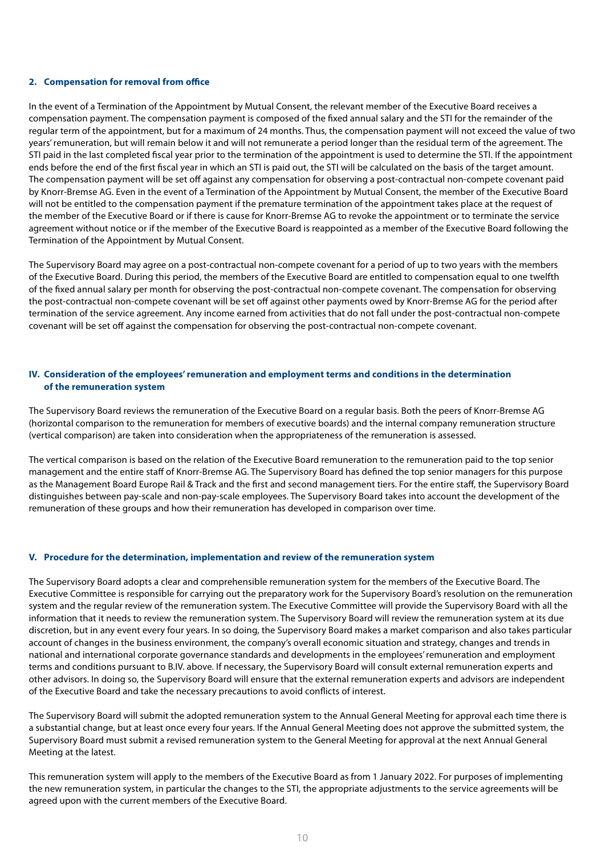#### **2. Compensation for removal from office**

In the event of a Termination of the Appointment by Mutual Consent, the relevant member of the Executive Board receives a compensation payment. The compensation payment is composed of the fixed annual salary and the STI for the remainder of the regular term of the appointment, but for a maximum of 24 months. Thus, the compensation payment will not exceed the value of two years' remuneration, but will remain below it and will not remunerate a period longer than the residual term of the agreement. The STI paid in the last completed fiscal year prior to the termination of the appointment is used to determine the STI. If the appointment ends before the end of the first fiscal year in which an STI is paid out, the STI will be calculated on the basis of the target amount. The compensation payment will be set off against any compensation for observing a post-contractual non-compete covenant paid by Knorr-Bremse AG. Even in the event of a Termination of the Appointment by Mutual Consent, the member of the Executive Board will not be entitled to the compensation payment if the premature termination of the appointment takes place at the request of the member of the Executive Board or if there is cause for Knorr-Bremse AG to revoke the appointment or to terminate the service agreement without notice or if the member of the Executive Board is reappointed as a member of the Executive Board following the Termination of the Appointment by Mutual Consent.

The Supervisory Board may agree on a post-contractual non-compete covenant for a period of up to two years with the members of the Executive Board. During this period, the members of the Executive Board are entitled to compensation equal to one twelfth of the fixed annual salary per month for observing the post-contractual non-compete covenant. The compensation for observing the post-contractual non-compete covenant will be set off against other payments owed by Knorr-Bremse AG for the period after termination of the service agreement. Any income earned from activities that do not fall under the post-contractual non-compete covenant will be set off against the compensation for observing the post-contractual non-compete covenant.

#### **IV. Consideration of the employees' remuneration and employment terms and conditions in the determination of the remuneration system**

The Supervisory Board reviews the remuneration of the Executive Board on a regular basis. Both the peers of Knorr-Bremse AG (horizontal comparison to the remuneration for members of executive boards) and the internal company remuneration structure (vertical comparison) are taken into consideration when the appropriateness of the remuneration is assessed.

The vertical comparison is based on the relation of the Executive Board remuneration to the remuneration paid to the top senior management and the entire staff of Knorr-Bremse AG. The Supervisory Board has defined the top senior managers for this purpose as the Management Board Europe Rail & Track and the first and second management tiers. For the entire staff, the Supervisory Board distinguishes between pay-scale and non-pay-scale employees. The Supervisory Board takes into account the development of the remuneration of these groups and how their remuneration has developed in comparison over time.

#### **V. Procedure for the determination, implementation and review of the remuneration system**

The Supervisory Board adopts a clear and comprehensible remuneration system for the members of the Executive Board. The Executive Committee is responsible for carrying out the preparatory work for the Supervisory Board's resolution on the remuneration system and the regular review of the remuneration system. The Executive Committee will provide the Supervisory Board with all the information that it needs to review the remuneration system. The Supervisory Board will review the remuneration system at its due discretion, but in any event every four years. In so doing, the Supervisory Board makes a market comparison and also takes particular account of changes in the business environment, the company's overall economic situation and strategy, changes and trends in national and international corporate governance standards and developments in the employees' remuneration and employment terms and conditions pursuant to B.IV. above. If necessary, the Supervisory Board will consult external remuneration experts and other advisors. In doing so, the Supervisory Board will ensure that the external remuneration experts and advisors are independent of the Executive Board and take the necessary precautions to avoid conflicts of interest.

The Supervisory Board will submit the adopted remuneration system to the Annual General Meeting for approval each time there is a substantial change, but at least once every four years. If the Annual General Meeting does not approve the submitted system, the Supervisory Board must submit a revised remuneration system to the General Meeting for approval at the next Annual General Meeting at the latest.

This remuneration system will apply to the members of the Executive Board as from 1 January 2022. For purposes of implementing the new remuneration system, in particular the changes to the STI, the appropriate adjustments to the service agreements will be agreed upon with the current members of the Executive Board.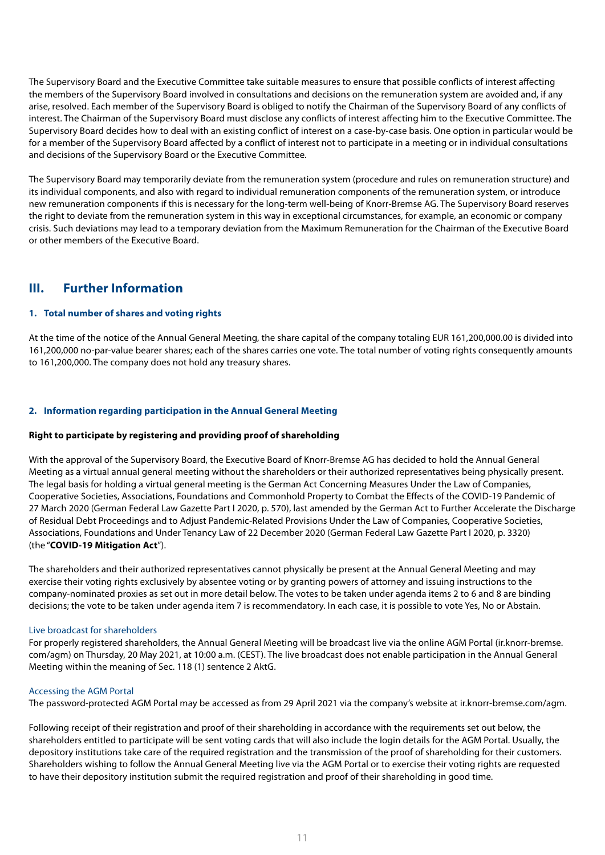The Supervisory Board and the Executive Committee take suitable measures to ensure that possible conflicts of interest affecting the members of the Supervisory Board involved in consultations and decisions on the remuneration system are avoided and, if any arise, resolved. Each member of the Supervisory Board is obliged to notify the Chairman of the Supervisory Board of any conflicts of interest. The Chairman of the Supervisory Board must disclose any conflicts of interest affecting him to the Executive Committee. The Supervisory Board decides how to deal with an existing conflict of interest on a case-by-case basis. One option in particular would be for a member of the Supervisory Board affected by a conflict of interest not to participate in a meeting or in individual consultations and decisions of the Supervisory Board or the Executive Committee.

The Supervisory Board may temporarily deviate from the remuneration system (procedure and rules on remuneration structure) and its individual components, and also with regard to individual remuneration components of the remuneration system, or introduce new remuneration components if this is necessary for the long-term well-being of Knorr-Bremse AG. The Supervisory Board reserves the right to deviate from the remuneration system in this way in exceptional circumstances, for example, an economic or company crisis. Such deviations may lead to a temporary deviation from the Maximum Remuneration for the Chairman of the Executive Board or other members of the Executive Board.

## **III. Further Information**

#### **1. Total number of shares and voting rights**

At the time of the notice of the Annual General Meeting, the share capital of the company totaling EUR 161,200,000.00 is divided into 161,200,000 no-par-value bearer shares; each of the shares carries one vote. The total number of voting rights consequently amounts to 161,200,000. The company does not hold any treasury shares.

#### **2. Information regarding participation in the Annual General Meeting**

#### **Right to participate by registering and providing proof of shareholding**

With the approval of the Supervisory Board, the Executive Board of Knorr-Bremse AG has decided to hold the Annual General Meeting as a virtual annual general meeting without the shareholders or their authorized representatives being physically present. The legal basis for holding a virtual general meeting is the German Act Concerning Measures Under the Law of Companies, Cooperative Societies, Associations, Foundations and Commonhold Property to Combat the Effects of the COVID-19 Pandemic of 27 March 2020 (German Federal Law Gazette Part I 2020, p. 570), last amended by the German Act to Further Accelerate the Discharge of Residual Debt Proceedings and to Adjust Pandemic-Related Provisions Under the Law of Companies, Cooperative Societies, Associations, Foundations and Under Tenancy Law of 22 December 2020 (German Federal Law Gazette Part I 2020, p. 3320) (the "**COVID-19 Mitigation Act**").

The shareholders and their authorized representatives cannot physically be present at the Annual General Meeting and may exercise their voting rights exclusively by absentee voting or by granting powers of attorney and issuing instructions to the company-nominated proxies as set out in more detail below. The votes to be taken under agenda items 2 to 6 and 8 are binding decisions; the vote to be taken under agenda item 7 is recommendatory. In each case, it is possible to vote Yes, No or Abstain.

#### Live broadcast for shareholders

For properly registered shareholders, the Annual General Meeting will be broadcast live via the online AGM Portal (ir.knorr-bremse. com/agm) on Thursday, 20 May 2021, at 10:00 a.m. (CEST). The live broadcast does not enable participation in the Annual General Meeting within the meaning of Sec. 118 (1) sentence 2 AktG.

#### Accessing the AGM Portal

The password-protected AGM Portal may be accessed as from 29 April 2021 via the company's website at ir.knorr-bremse.com/agm.

Following receipt of their registration and proof of their shareholding in accordance with the requirements set out below, the shareholders entitled to participate will be sent voting cards that will also include the login details for the AGM Portal. Usually, the depository institutions take care of the required registration and the transmission of the proof of shareholding for their customers. Shareholders wishing to follow the Annual General Meeting live via the AGM Portal or to exercise their voting rights are requested to have their depository institution submit the required registration and proof of their shareholding in good time.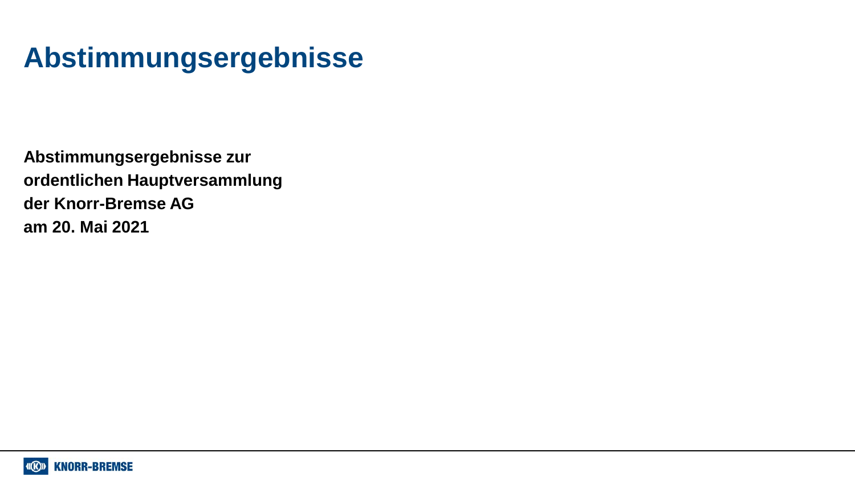# **Abstimmungsergebnisse**

**Abstimmungsergebnisse zur ordentlichen Hauptversammlung der Knorr-Bremse AG am 20. Mai 2021**